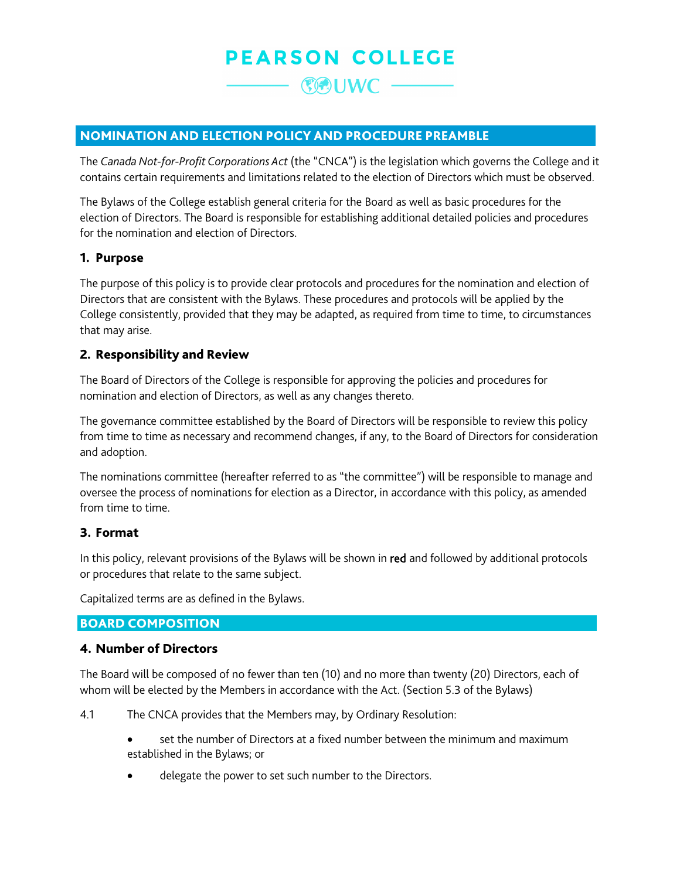## **PEARSON COLLEGE**

 $C =$ 

### NOMINATION AND ELECTION POLICY AND PROCEDURE PREAMBLE

The *Canada Not-for-Profit Corporations Act* (the "CNCA") is the legislation which governs the College and it contains certain requirements and limitations related to the election of Directors which must be observed.

The Bylaws of the College establish general criteria for the Board as well as basic procedures for the election of Directors. The Board is responsible for establishing additional detailed policies and procedures for the nomination and election of Directors.

#### 1. Purpose

The purpose of this policy is to provide clear protocols and procedures for the nomination and election of Directors that are consistent with the Bylaws. These procedures and protocols will be applied by the College consistently, provided that they may be adapted, as required from time to time, to circumstances that may arise.

#### 2. Responsibility and Review

The Board of Directors of the College is responsible for approving the policies and procedures for nomination and election of Directors, as well as any changes thereto.

The governance committee established by the Board of Directors will be responsible to review this policy from time to time as necessary and recommend changes, if any, to the Board of Directors for consideration and adoption.

The nominations committee (hereafter referred to as "the committee") will be responsible to manage and oversee the process of nominations for election as a Director, in accordance with this policy, as amended from time to time.

#### 3. Format

In this policy, relevant provisions of the Bylaws will be shown in red and followed by additional protocols or procedures that relate to the same subject.

Capitalized terms are as defined in the Bylaws.

### BOARD COMPOSITION

#### 4. Number of Directors

The Board will be composed of no fewer than ten (10) and no more than twenty (20) Directors, each of whom will be elected by the Members in accordance with the Act. (Section 5.3 of the Bylaws)

4.1 The CNCA provides that the Members may, by Ordinary Resolution:

- set the number of Directors at a fixed number between the minimum and maximum established in the Bylaws; or
- delegate the power to set such number to the Directors.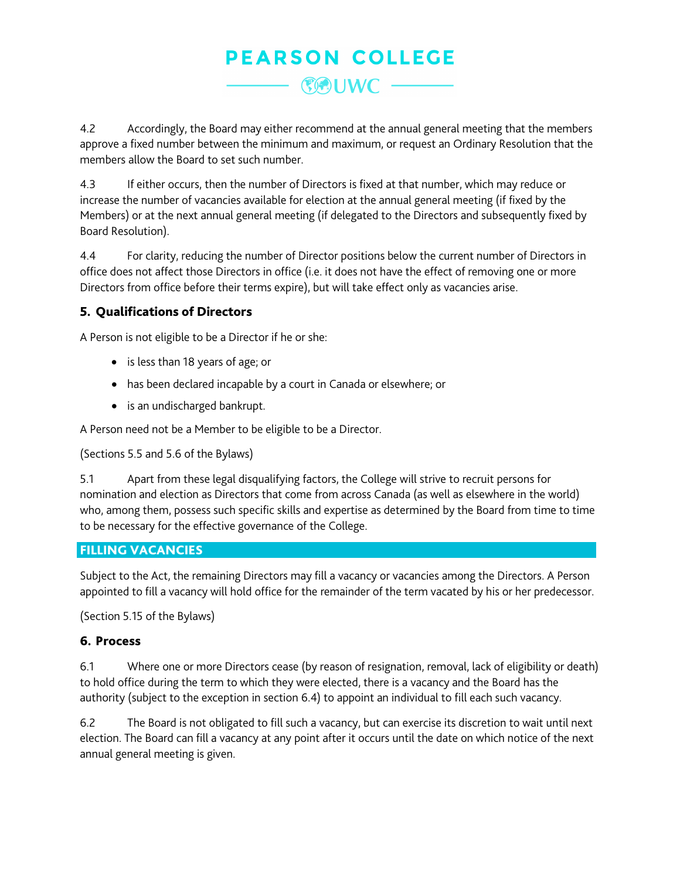# **PEARSON COLLEGE 《KOUWC -**

4.2 Accordingly, the Board may either recommend at the annual general meeting that the members approve a fixed number between the minimum and maximum, or request an Ordinary Resolution that the members allow the Board to set such number.

4.3 If either occurs, then the number of Directors is fixed at that number, which may reduce or increase the number of vacancies available for election at the annual general meeting (if fixed by the Members) or at the next annual general meeting (if delegated to the Directors and subsequently fixed by Board Resolution).

4.4 For clarity, reducing the number of Director positions below the current number of Directors in office does not affect those Directors in office (i.e. it does not have the effect of removing one or more Directors from office before their terms expire), but will take effect only as vacancies arise.

## 5. Qualifications of Directors

A Person is not eligible to be a Director if he or she:

- is less than 18 years of age; or
- has been declared incapable by a court in Canada or elsewhere; or
- is an undischarged bankrupt.

A Person need not be a Member to be eligible to be a Director.

(Sections 5.5 and 5.6 of the Bylaws)

5.1 Apart from these legal disqualifying factors, the College will strive to recruit persons for nomination and election as Directors that come from across Canada (as well as elsewhere in the world) who, among them, possess such specific skills and expertise as determined by the Board from time to time to be necessary for the effective governance of the College.

## FILLING VACANCIES

Subject to the Act, the remaining Directors may fill a vacancy or vacancies among the Directors. A Person appointed to fill a vacancy will hold office for the remainder of the term vacated by his or her predecessor.

(Section 5.15 of the Bylaws)

## 6. Process

6.1 Where one or more Directors cease (by reason of resignation, removal, lack of eligibility or death) to hold office during the term to which they were elected, there is a vacancy and the Board has the authority (subject to the exception in section [6.4\)](#page-2-0) to appoint an individual to fill each such vacancy.

6.2 The Board is not obligated to fill such a vacancy, but can exercise its discretion to wait until next election. The Board can fill a vacancy at any point after it occurs until the date on which notice of the next annual general meeting is given.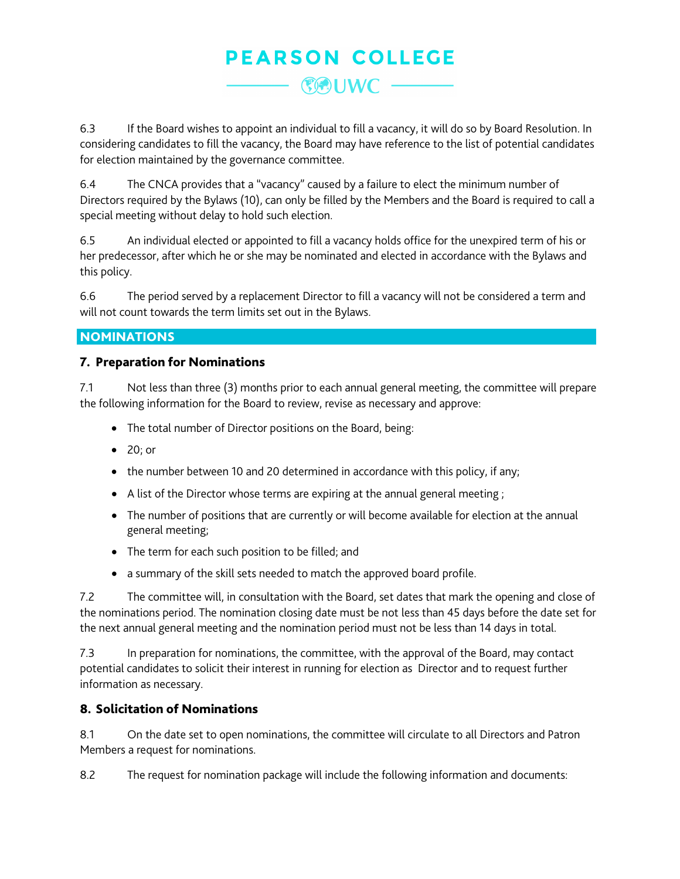## **PEARSON COLLEGE**  $C -$

6.3 If the Board wishes to appoint an individual to fill a vacancy, it will do so by Board Resolution. In considering candidates to fill the vacancy, the Board may have reference to the list of potential candidates for election maintained by the governance committee.

<span id="page-2-0"></span>6.4 The CNCA provides that a "vacancy" caused by a failure to elect the minimum number of Directors required by the Bylaws (10), can only be filled by the Members and the Board is required to call a special meeting without delay to hold such election.

6.5 An individual elected or appointed to fill a vacancy holds office for the unexpired term of his or her predecessor, after which he or she may be nominated and elected in accordance with the Bylaws and this policy.

6.6 The period served by a replacement Director to fill a vacancy will not be considered a term and will not count towards the term limits set out in the Bylaws.

### **NOMINATIONS**

### 7. Preparation for Nominations

7.1 Not less than three (3) months prior to each annual general meeting, the committee will prepare the following information for the Board to review, revise as necessary and approve:

- The total number of Director positions on the Board, being:
- 20; or
- the number between 10 and 20 determined in accordance with this policy, if any;
- A list of the Director whose terms are expiring at the annual general meeting ;
- The number of positions that are currently or will become available for election at the annual general meeting;
- The term for each such position to be filled; and
- a summary of the skill sets needed to match the approved board profile.

7.2 The committee will, in consultation with the Board, set dates that mark the opening and close of the nominations period. The nomination closing date must be not less than 45 days before the date set for the next annual general meeting and the nomination period must not be less than 14 days in total.

7.3 In preparation for nominations, the committee, with the approval of the Board, may contact potential candidates to solicit their interest in running for election as Director and to request further information as necessary.

## 8. Solicitation of Nominations

8.1 On the date set to open nominations, the committee will circulate to all Directors and Patron Members a request for nominations.

8.2 The request for nomination package will include the following information and documents: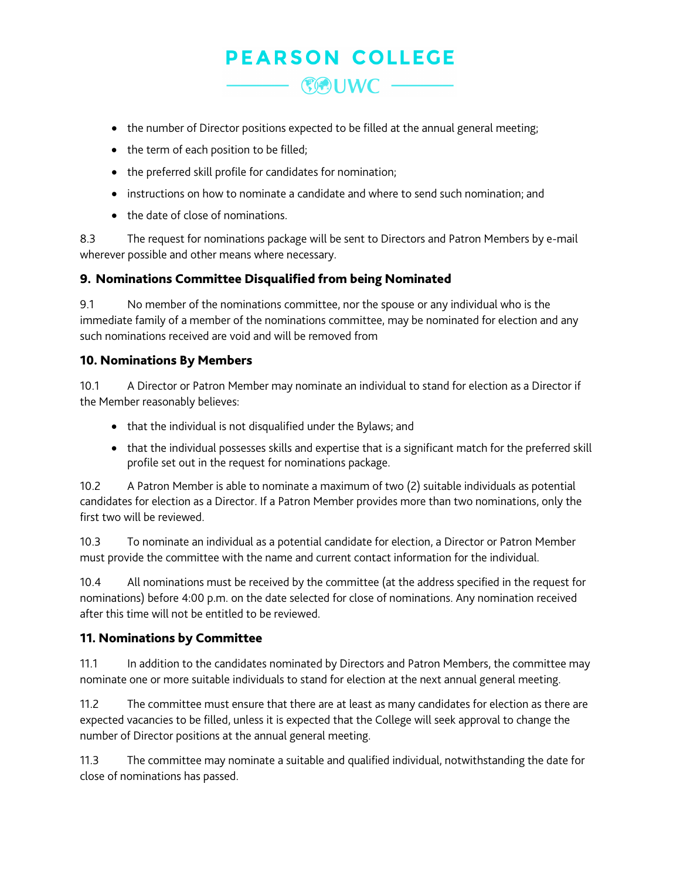# **PEARSON COLLEGE**  $C$  UWC  $-$

- the number of Director positions expected to be filled at the annual general meeting;
- the term of each position to be filled;
- the preferred skill profile for candidates for nomination;
- instructions on how to nominate a candidate and where to send such nomination; and
- the date of close of nominations.

8.3 The request for nominations package will be sent to Directors and Patron Members by e-mail wherever possible and other means where necessary.

## 9. Nominations Committee Disqualified from being Nominated

9.1 No member of the nominations committee, nor the spouse or any individual who is the immediate family of a member of the nominations committee, may be nominated for election and any such nominations received are void and will be removed from

## 10. Nominations By Members

10.1 A Director or Patron Member may nominate an individual to stand for election as a Director if the Member reasonably believes:

- that the individual is not disqualified under the Bylaws; and
- that the individual possesses skills and expertise that is a significant match for the preferred skill profile set out in the request for nominations package.

10.2 A Patron Member is able to nominate a maximum of two (2) suitable individuals as potential candidates for election as a Director. If a Patron Member provides more than two nominations, only the first two will be reviewed.

10.3 To nominate an individual as a potential candidate for election, a Director or Patron Member must provide the committee with the name and current contact information for the individual.

10.4 All nominations must be received by the committee (at the address specified in the request for nominations) before 4:00 p.m. on the date selected for close of nominations. Any nomination received after this time will not be entitled to be reviewed.

## 11. Nominations by Committee

11.1 In addition to the candidates nominated by Directors and Patron Members, the committee may nominate one or more suitable individuals to stand for election at the next annual general meeting.

11.2 The committee must ensure that there are at least as many candidates for election as there are expected vacancies to be filled, unless it is expected that the College will seek approval to change the number of Director positions at the annual general meeting.

11.3 The committee may nominate a suitable and qualified individual, notwithstanding the date for close of nominations has passed.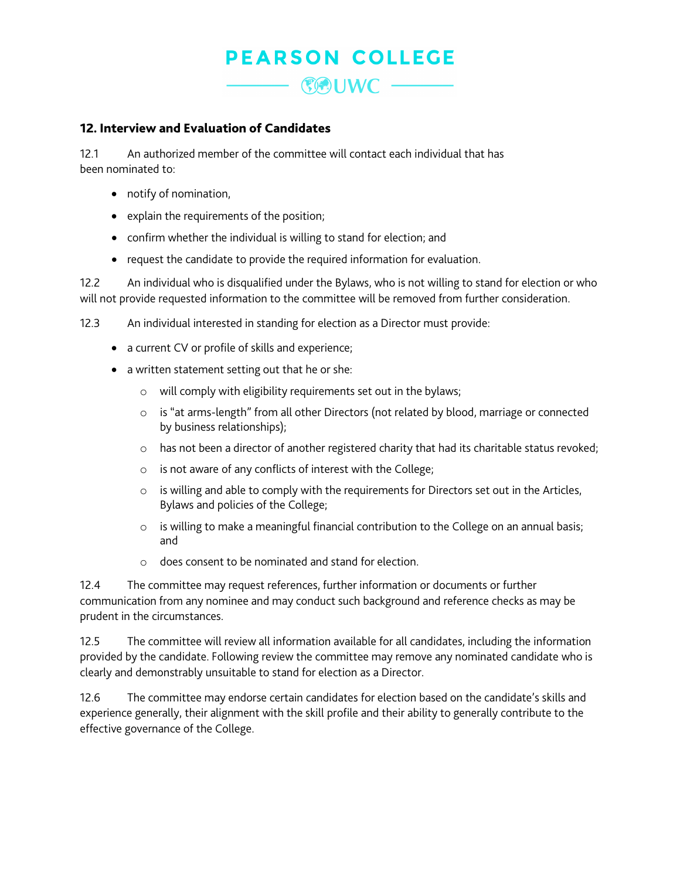## **PEARSON COLLEGE** COUWC -

#### 12. Interview and Evaluation of Candidates

12.1 An authorized member of the committee will contact each individual that has been nominated to:

- notify of nomination,
- explain the requirements of the position;
- confirm whether the individual is willing to stand for election; and
- request the candidate to provide the required information for evaluation.

12.2 An individual who is disqualified under the Bylaws, who is not willing to stand for election or who will not provide requested information to the committee will be removed from further consideration.

12.3 An individual interested in standing for election as a Director must provide:

- a current CV or profile of skills and experience;
- a written statement setting out that he or she:
	- o will comply with eligibility requirements set out in the bylaws;
	- o is "at arms-length" from all other Directors (not related by blood, marriage or connected by business relationships);
	- $\circ$  has not been a director of another registered charity that had its charitable status revoked;
	- o is not aware of any conflicts of interest with the College;
	- o is willing and able to comply with the requirements for Directors set out in the Articles, Bylaws and policies of the College;
	- o is willing to make a meaningful financial contribution to the College on an annual basis; and
	- o does consent to be nominated and stand for election.

12.4 The committee may request references, further information or documents or further communication from any nominee and may conduct such background and reference checks as may be prudent in the circumstances.

12.5 The committee will review all information available for all candidates, including the information provided by the candidate. Following review the committee may remove any nominated candidate who is clearly and demonstrably unsuitable to stand for election as a Director.

12.6 The committee may endorse certain candidates for election based on the candidate's skills and experience generally, their alignment with the skill profile and their ability to generally contribute to the effective governance of the College.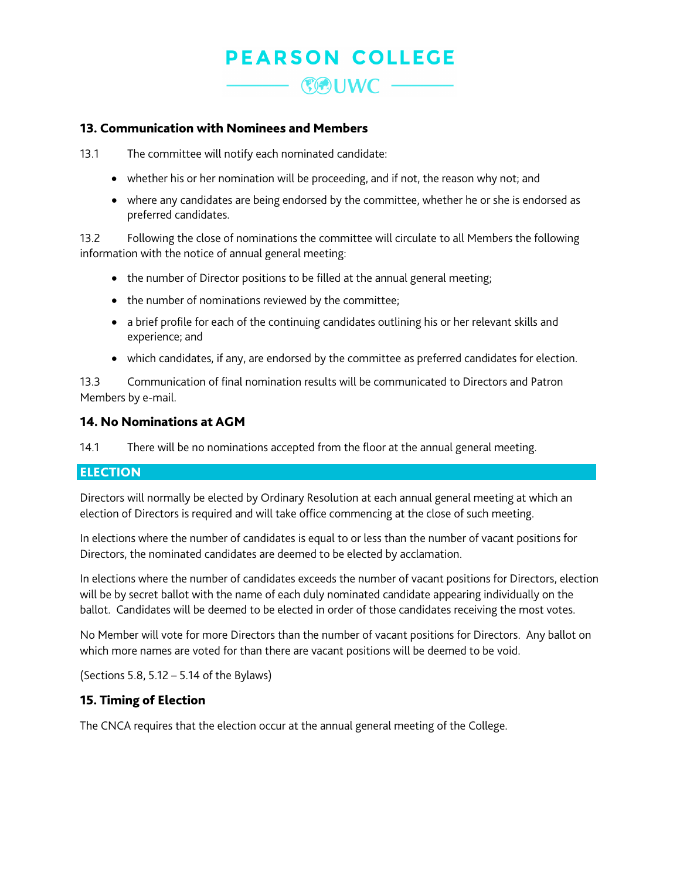# **PEARSON COLLEGE**  $C$  UWC  $-$

#### 13. Communication with Nominees and Members

13.1 The committee will notify each nominated candidate:

- whether his or her nomination will be proceeding, and if not, the reason why not; and
- where any candidates are being endorsed by the committee, whether he or she is endorsed as preferred candidates.

13.2 Following the close of nominations the committee will circulate to all Members the following information with the notice of annual general meeting:

- the number of Director positions to be filled at the annual general meeting;
- the number of nominations reviewed by the committee;
- a brief profile for each of the continuing candidates outlining his or her relevant skills and experience; and
- which candidates, if any, are endorsed by the committee as preferred candidates for election.

13.3 Communication of final nomination results will be communicated to Directors and Patron Members by e-mail.

### 14. No Nominations at AGM

14.1 There will be no nominations accepted from the floor at the annual general meeting.

### ELECTION

Directors will normally be elected by Ordinary Resolution at each annual general meeting at which an election of Directors is required and will take office commencing at the close of such meeting.

In elections where the number of candidates is equal to or less than the number of vacant positions for Directors, the nominated candidates are deemed to be elected by acclamation.

In elections where the number of candidates exceeds the number of vacant positions for Directors, election will be by secret ballot with the name of each duly nominated candidate appearing individually on the ballot. Candidates will be deemed to be elected in order of those candidates receiving the most votes.

No Member will vote for more Directors than the number of vacant positions for Directors. Any ballot on which more names are voted for than there are vacant positions will be deemed to be void.

(Sections 5.8, 5.12 – 5.14 of the Bylaws)

### 15. Timing of Election

The CNCA requires that the election occur at the annual general meeting of the College.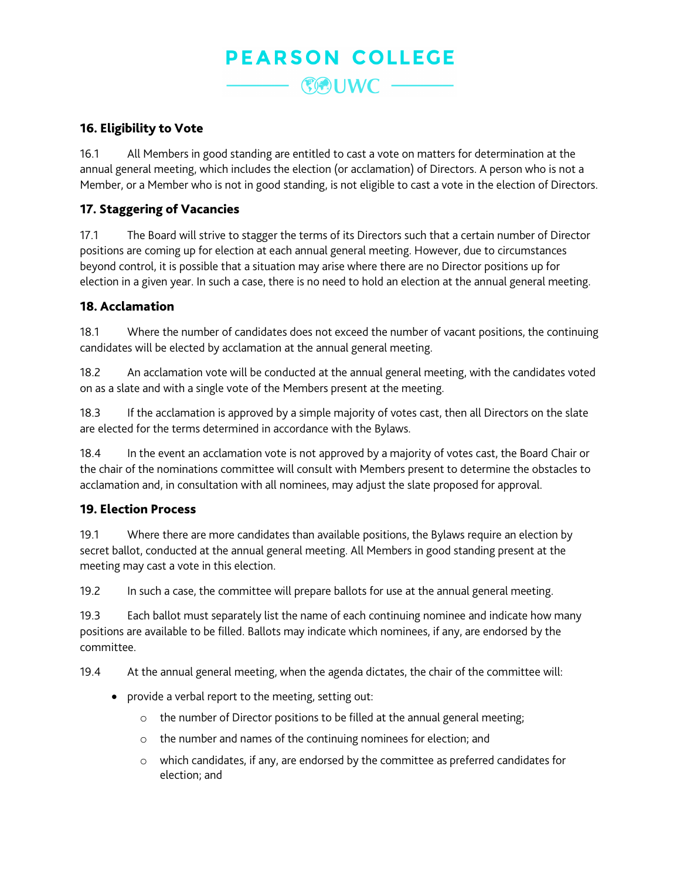## **PEARSON COLLEGE** (COUWC ––

## 16. Eligibility to Vote

16.1 All Members in good standing are entitled to cast a vote on matters for determination at the annual general meeting, which includes the election (or acclamation) of Directors. A person who is not a Member, or a Member who is not in good standing, is not eligible to cast a vote in the election of Directors.

## 17. Staggering of Vacancies

17.1 The Board will strive to stagger the terms of its Directors such that a certain number of Director positions are coming up for election at each annual general meeting. However, due to circumstances beyond control, it is possible that a situation may arise where there are no Director positions up for election in a given year. In such a case, there is no need to hold an election at the annual general meeting.

### 18. Acclamation

18.1 Where the number of candidates does not exceed the number of vacant positions, the continuing candidates will be elected by acclamation at the annual general meeting.

18.2 An acclamation vote will be conducted at the annual general meeting, with the candidates voted on as a slate and with a single vote of the Members present at the meeting.

18.3 If the acclamation is approved by a simple majority of votes cast, then all Directors on the slate are elected for the terms determined in accordance with the Bylaws.

18.4 In the event an acclamation vote is not approved by a majority of votes cast, the Board Chair or the chair of the nominations committee will consult with Members present to determine the obstacles to acclamation and, in consultation with all nominees, may adjust the slate proposed for approval.

### 19. Election Process

19.1 Where there are more candidates than available positions, the Bylaws require an election by secret ballot, conducted at the annual general meeting. All Members in good standing present at the meeting may cast a vote in this election.

19.2 In such a case, the committee will prepare ballots for use at the annual general meeting.

19.3 Each ballot must separately list the name of each continuing nominee and indicate how many positions are available to be filled. Ballots may indicate which nominees, if any, are endorsed by the committee.

19.4 At the annual general meeting, when the agenda dictates, the chair of the committee will:

- provide a verbal report to the meeting, setting out:
	- o the number of Director positions to be filled at the annual general meeting;
	- o the number and names of the continuing nominees for election; and
	- o which candidates, if any, are endorsed by the committee as preferred candidates for election; and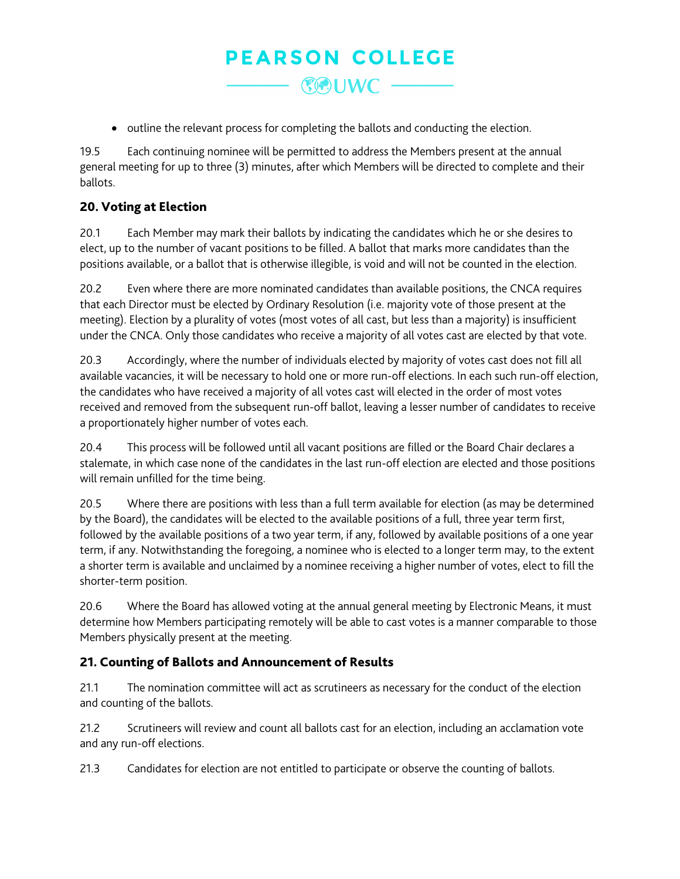## **PEARSON COLLEGE 《例UWC -**

• outline the relevant process for completing the ballots and conducting the election.

19.5 Each continuing nominee will be permitted to address the Members present at the annual general meeting for up to three (3) minutes, after which Members will be directed to complete and their ballots.

## 20. Voting at Election

20.1 Each Member may mark their ballots by indicating the candidates which he or she desires to elect, up to the number of vacant positions to be filled. A ballot that marks more candidates than the positions available, or a ballot that is otherwise illegible, is void and will not be counted in the election.

20.2 Even where there are more nominated candidates than available positions, the CNCA requires that each Director must be elected by Ordinary Resolution (i.e. majority vote of those present at the meeting). Election by a plurality of votes (most votes of all cast, but less than a majority) is insufficient under the CNCA. Only those candidates who receive a majority of all votes cast are elected by that vote.

20.3 Accordingly, where the number of individuals elected by majority of votes cast does not fill all available vacancies, it will be necessary to hold one or more run-off elections. In each such run-off election, the candidates who have received a majority of all votes cast will elected in the order of most votes received and removed from the subsequent run-off ballot, leaving a lesser number of candidates to receive a proportionately higher number of votes each.

20.4 This process will be followed until all vacant positions are filled or the Board Chair declares a stalemate, in which case none of the candidates in the last run-off election are elected and those positions will remain unfilled for the time being.

20.5 Where there are positions with less than a full term available for election (as may be determined by the Board), the candidates will be elected to the available positions of a full, three year term first, followed by the available positions of a two year term, if any, followed by available positions of a one year term, if any. Notwithstanding the foregoing, a nominee who is elected to a longer term may, to the extent a shorter term is available and unclaimed by a nominee receiving a higher number of votes, elect to fill the shorter-term position.

20.6 Where the Board has allowed voting at the annual general meeting by Electronic Means, it must determine how Members participating remotely will be able to cast votes is a manner comparable to those Members physically present at the meeting.

## 21. Counting of Ballots and Announcement of Results

21.1 The nomination committee will act as scrutineers as necessary for the conduct of the election and counting of the ballots.

21.2 Scrutineers will review and count all ballots cast for an election, including an acclamation vote and any run-off elections.

21.3 Candidates for election are not entitled to participate or observe the counting of ballots.